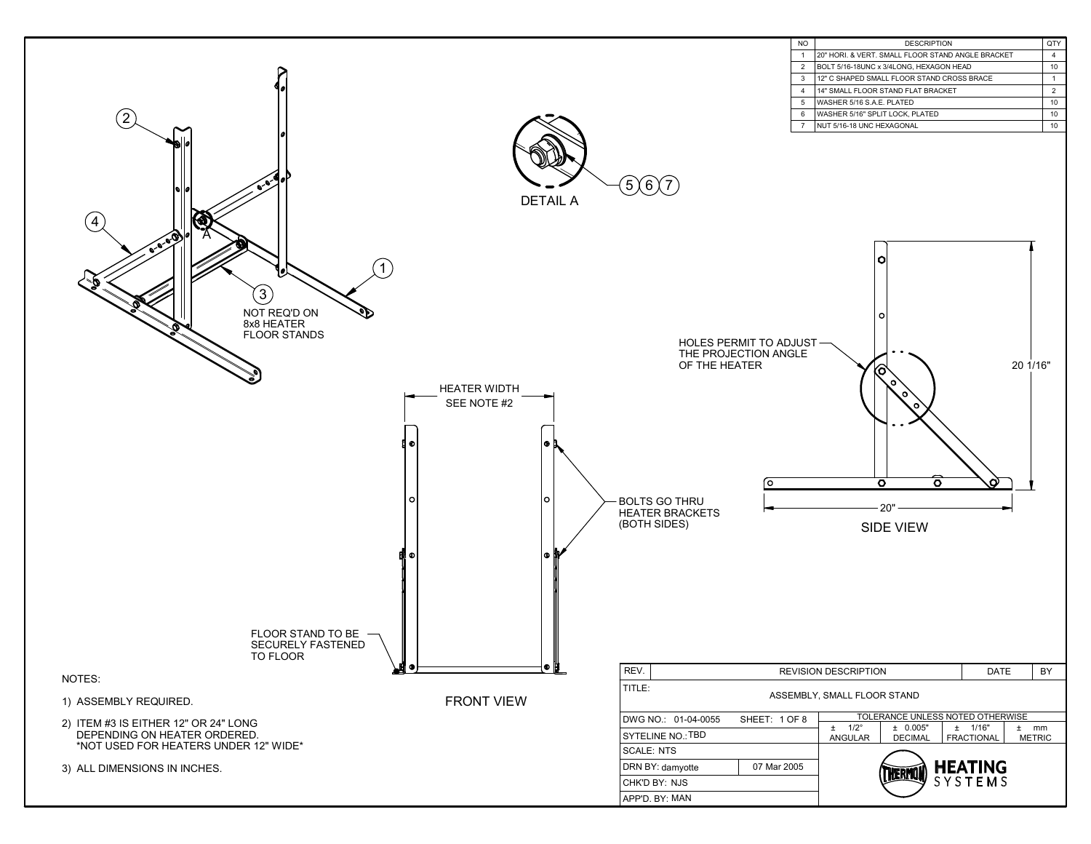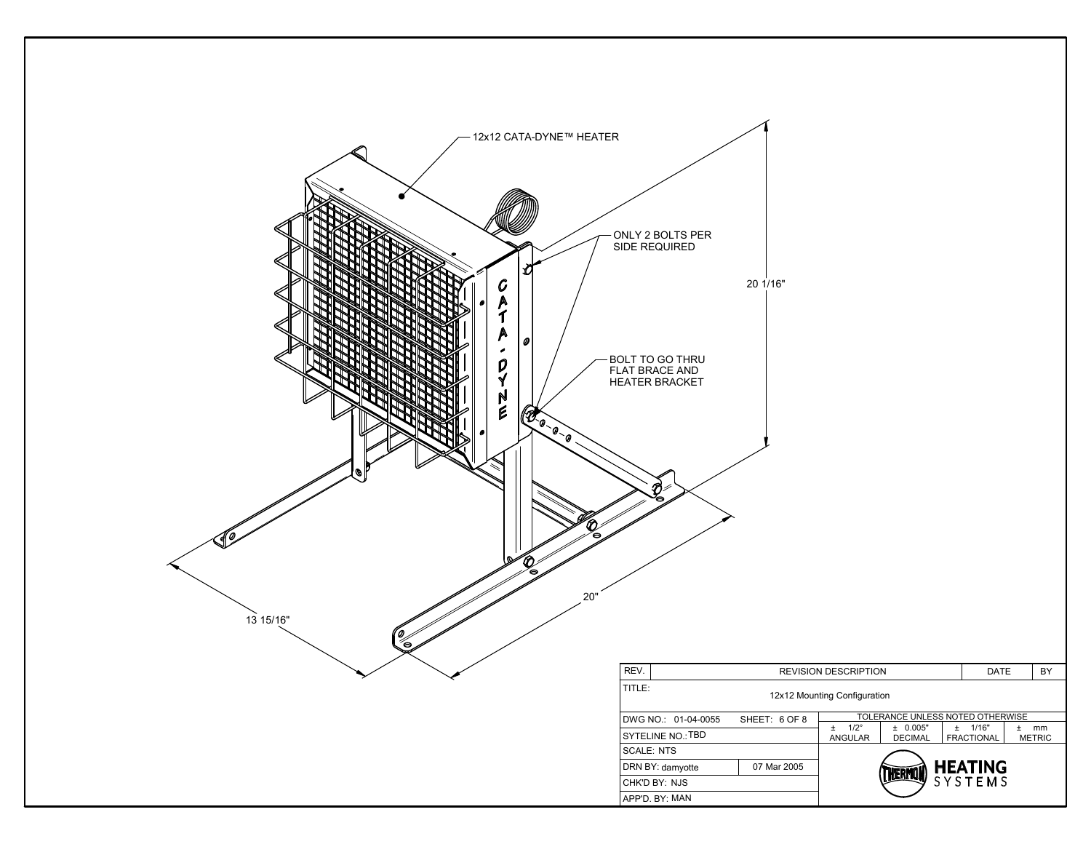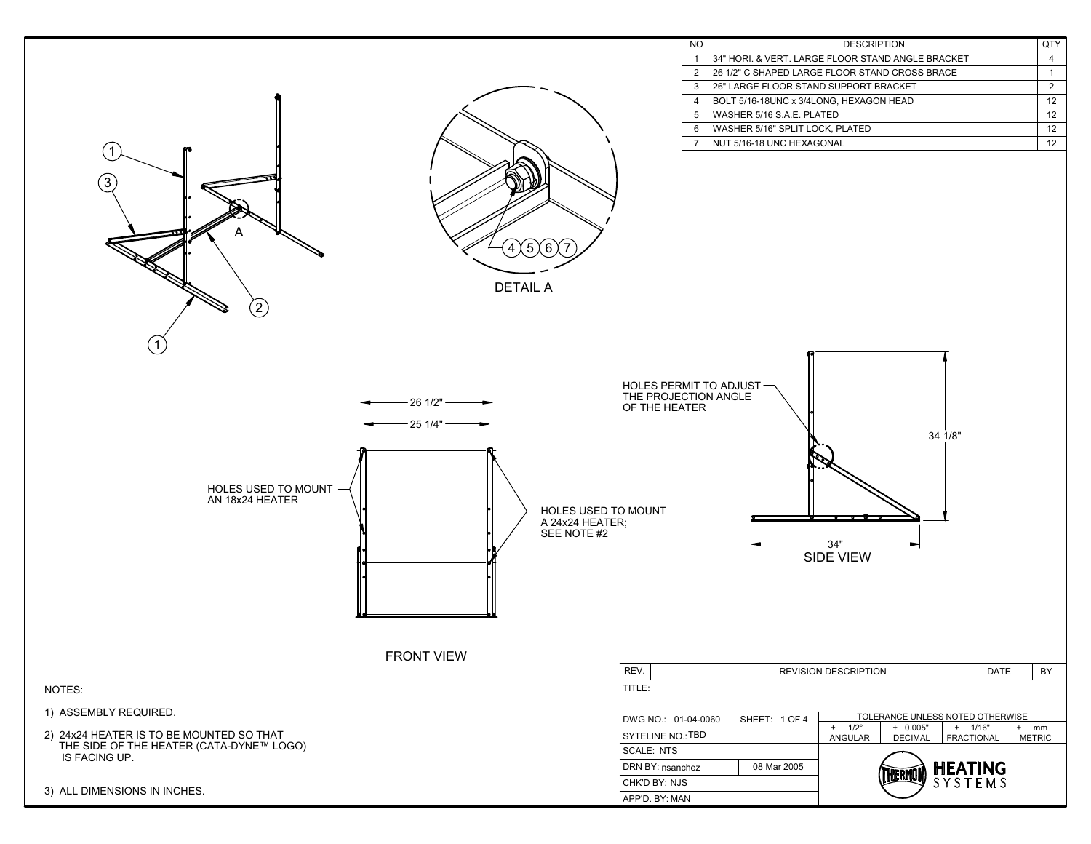